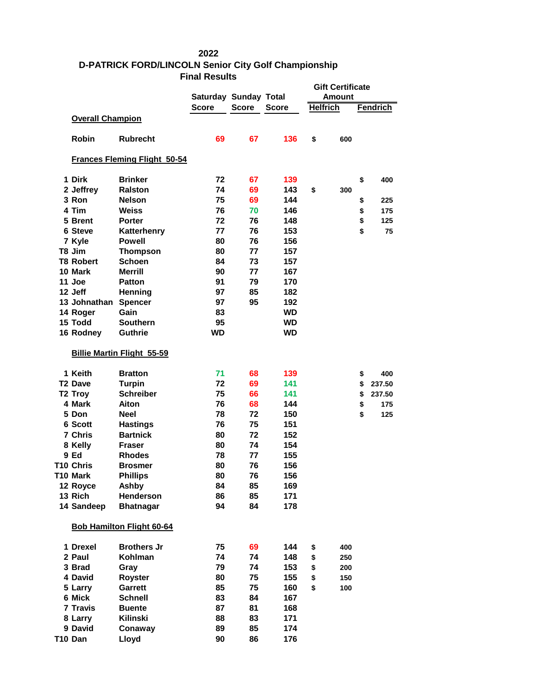## 

## **D-PATRICK FORD/LINCOLN Senior City Golf Championship Final Results**

|                                     |                                   | <b>Saturday Sunday Total</b> |              |              | <b>Gift Certificate</b><br>Amount |     |                 |        |
|-------------------------------------|-----------------------------------|------------------------------|--------------|--------------|-----------------------------------|-----|-----------------|--------|
|                                     |                                   | <b>Score</b>                 | <b>Score</b> | <b>Score</b> |                                   |     | <b>Fendrich</b> |        |
|                                     |                                   |                              |              |              | <b>Helfrich</b>                   |     |                 |        |
| <b>Overall Champion</b>             |                                   |                              |              |              |                                   |     |                 |        |
| <b>Robin</b>                        | <b>Rubrecht</b>                   | 69                           | 67           | 136          | \$                                | 600 |                 |        |
| <b>Frances Fleming Flight 50-54</b> |                                   |                              |              |              |                                   |     |                 |        |
| 1 Dirk                              | <b>Brinker</b>                    | 72                           | 67           | 139          |                                   |     | \$              | 400    |
| 2 Jeffrey                           | <b>Ralston</b>                    | 74                           | 69           | 143          | \$                                | 300 |                 |        |
| 3 Ron                               | <b>Nelson</b>                     | 75                           | 69           | 144          |                                   |     | \$              | 225    |
| 4 Tim                               | <b>Weiss</b>                      | 76                           | 70           | 146          |                                   |     | \$              | 175    |
| 5 Brent                             | <b>Porter</b>                     | 72                           | 76           | 148          |                                   |     | \$              | 125    |
| 6 Steve                             | Katterhenry                       | 77                           | 76           | 153          |                                   |     | \$              | 75     |
| 7 Kyle                              | <b>Powell</b>                     | 80                           | 76           | 156          |                                   |     |                 |        |
| T8 Jim                              | <b>Thompson</b>                   | 80                           | 77           | 157          |                                   |     |                 |        |
| <b>T8 Robert</b>                    | <b>Schoen</b>                     | 84                           | 73           | 157          |                                   |     |                 |        |
| 10 Mark                             | <b>Merrill</b>                    | 90                           | 77           | 167          |                                   |     |                 |        |
| 11 Joe                              | <b>Patton</b>                     | 91                           | 79           | 170          |                                   |     |                 |        |
| 12 Jeff                             | <b>Henning</b>                    | 97                           | 85           | 182          |                                   |     |                 |        |
| 13 Johnathan Spencer                |                                   | 97                           | 95           | 192          |                                   |     |                 |        |
| 14 Roger                            | Gain                              | 83                           |              | <b>WD</b>    |                                   |     |                 |        |
| 15 Todd                             | <b>Southern</b>                   | 95                           |              | <b>WD</b>    |                                   |     |                 |        |
| 16 Rodney                           | <b>Guthrie</b>                    | <b>WD</b>                    |              | <b>WD</b>    |                                   |     |                 |        |
|                                     | <b>Billie Martin Flight 55-59</b> |                              |              |              |                                   |     |                 |        |
| 1 Keith                             | <b>Bratton</b>                    | 71                           | 68           | 139          |                                   |     | \$              | 400    |
| <b>T2 Dave</b>                      | <b>Turpin</b>                     | 72                           | 69           | 141          |                                   |     | \$              | 237.50 |
| T <sub>2</sub> Troy                 | <b>Schreiber</b>                  | 75                           | 66           | 141          |                                   |     | \$              | 237.50 |
| 4 Mark                              | Aiton                             | 76                           | 68           | 144          |                                   |     | \$              | 175    |
| 5 Don                               | <b>Neel</b>                       | 78                           | 72           | 150          |                                   |     | \$              | 125    |
| 6 Scott                             | <b>Hastings</b>                   | 76                           | 75           | 151          |                                   |     |                 |        |
| 7 Chris                             | <b>Bartnick</b>                   | 80                           | 72           | 152          |                                   |     |                 |        |
| 8 Kelly                             | <b>Fraser</b>                     | 80                           | 74           | 154          |                                   |     |                 |        |
| 9 Ed                                | <b>Rhodes</b>                     | 78                           | 77           | 155          |                                   |     |                 |        |
| T10 Chris                           | <b>Brosmer</b>                    | 80                           | 76           | 156          |                                   |     |                 |        |
| T10 Mark                            | <b>Phillips</b>                   | 80                           | 76           | 156          |                                   |     |                 |        |
| 12 Royce                            | Ashby                             | 84                           | 85           | 169          |                                   |     |                 |        |
| 13 Rich                             | Henderson                         | 86                           | 85           | 171          |                                   |     |                 |        |
| 14 Sandeep                          | <b>Bhatnagar</b>                  | 94                           | 84           | 178          |                                   |     |                 |        |
|                                     | <b>Bob Hamilton Flight 60-64</b>  |                              |              |              |                                   |     |                 |        |
| 1 Drexel                            | <b>Brothers Jr</b>                | 75                           | 69           | 144          | \$                                | 400 |                 |        |
| 2 Paul                              | Kohlman                           | 74                           | 74           | 148          | \$                                | 250 |                 |        |
| 3 Brad                              | Gray                              | 79                           | 74           | 153          | \$                                | 200 |                 |        |
| 4 David                             | Royster                           | 80                           | 75           | 155          | \$                                | 150 |                 |        |
| 5 Larry                             | <b>Garrett</b>                    | 85                           | 75           | 160          | \$                                | 100 |                 |        |
| 6 Mick                              | <b>Schnell</b>                    | 83                           | 84           | 167          |                                   |     |                 |        |
| 7 Travis                            | <b>Buente</b>                     | 87                           | 81           | 168          |                                   |     |                 |        |
| 8 Larry                             | Kilinski                          | 88                           | 83           | 171          |                                   |     |                 |        |
| 9 David                             | Conaway                           | 89                           | 85           | 174          |                                   |     |                 |        |
| T10 Dan                             | Lloyd                             | 90                           | 86           | 176          |                                   |     |                 |        |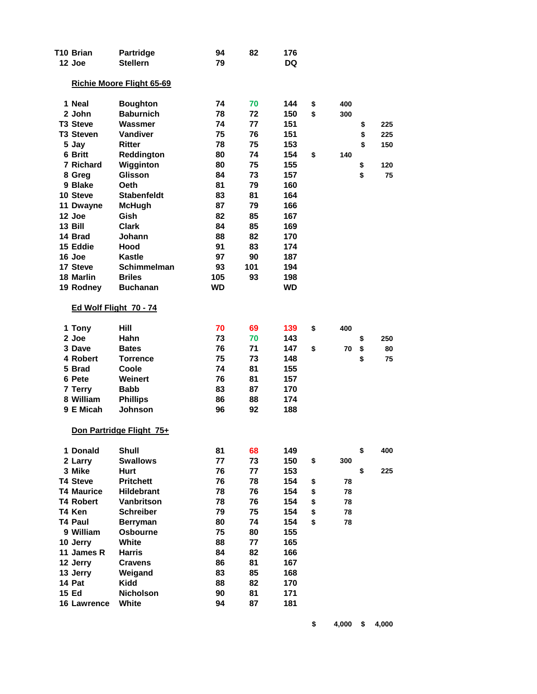| T10 Brian              | <b>Partridge</b>                 | 94  | 82  | 176       |           |           |
|------------------------|----------------------------------|-----|-----|-----------|-----------|-----------|
| 12 Joe                 | <b>Stellern</b>                  | 79  |     | <b>DQ</b> |           |           |
|                        | <b>Richie Moore Flight 65-69</b> |     |     |           |           |           |
| 1 Neal                 | <b>Boughton</b>                  | 74  | 70  | 144       | \$<br>400 |           |
| 2 John                 | <b>Baburnich</b>                 | 78  | 72  | 150       | \$<br>300 |           |
| <b>T3 Steve</b>        | Wassmer                          | 74  | 77  | 151       |           | \$<br>225 |
| <b>T3 Steven</b>       | <b>Vandiver</b>                  | 75  | 76  | 151       |           | \$<br>225 |
| 5 Jay                  | <b>Ritter</b>                    | 78  | 75  | 153       |           | \$<br>150 |
| 6 Britt                | Reddington                       | 80  | 74  | 154       | \$<br>140 |           |
| 7 Richard              | Wigginton                        | 80  | 75  | 155       |           | \$<br>120 |
| 8 Greg                 | Glisson                          | 84  | 73  | 157       |           | \$<br>75  |
| 9 Blake                | Oeth                             | 81  | 79  | 160       |           |           |
| 10 Steve               | <b>Stabenfeldt</b>               | 83  | 81  | 164       |           |           |
| 11 Dwayne              | <b>McHugh</b>                    | 87  | 79  | 166       |           |           |
| 12 Joe                 | Gish                             | 82  | 85  | 167       |           |           |
| 13 Bill                | Clark                            | 84  | 85  | 169       |           |           |
| 14 Brad                | <b>Johann</b>                    | 88  | 82  | 170       |           |           |
| 15 Eddie               | Hood                             | 91  | 83  | 174       |           |           |
| 16 Joe                 | Kastle                           | 97  | 90  | 187       |           |           |
| 17 Steve               | <b>Schimmelman</b>               | 93  | 101 | 194       |           |           |
| 18 Marlin              | <b>Briles</b>                    | 105 | 93  | 198       |           |           |
| 19 Rodney              | <b>Buchanan</b>                  | WD  |     | WD        |           |           |
| Ed Wolf Flight 70 - 74 |                                  |     |     |           |           |           |
|                        |                                  |     |     |           |           |           |
| 1 Tony                 | Hill                             | 70  | 69  | 139       | \$<br>400 |           |
| 2 Joe                  | Hahn                             | 73  | 70  | 143       |           | \$<br>250 |
| 3 Dave                 | <b>Bates</b>                     | 76  | 71  | 147       | \$<br>70  | \$<br>80  |
| 4 Robert               | <b>Torrence</b>                  | 75  | 73  | 148       |           | \$<br>75  |
| 5 Brad                 | Coole                            | 74  | 81  | 155       |           |           |
| 6 Pete                 | Weinert                          | 76  | 81  | 157       |           |           |
| 7 Terry                | <b>Babb</b>                      | 83  | 87  | 170       |           |           |
| 8 William<br>9 E Micah | <b>Phillips</b>                  | 86  | 88  | 174       |           |           |
|                        | <b>Johnson</b>                   | 96  | 92  | 188       |           |           |
|                        | Don Partridge Flight 75+         |     |     |           |           |           |
| 1 Donald               | <b>Shull</b>                     | 81  | 68  | 149       |           | \$<br>400 |
| 2 Larry                | <b>Swallows</b>                  | 77  | 73  | 150       | \$<br>300 |           |
| 3 Mike                 | <b>Hurt</b>                      | 76  | 77  | 153       |           | \$<br>225 |
| <b>T4 Steve</b>        | <b>Pritchett</b>                 | 76  | 78  | 154       | \$<br>78  |           |
| <b>T4 Maurice</b>      | <b>Hildebrant</b>                | 78  | 76  | 154       | \$<br>78  |           |
| <b>T4 Robert</b>       | <b>Vanbritson</b>                | 78  | 76  | 154       | \$<br>78  |           |
| T4 Ken                 | <b>Schreiber</b>                 | 79  | 75  | 154       | \$<br>78  |           |
| <b>T4 Paul</b>         | <b>Berryman</b>                  | 80  | 74  | 154       | \$<br>78  |           |
| 9 William              | <b>Osbourne</b>                  | 75  | 80  | 155       |           |           |
| 10 Jerry               | White                            | 88  | 77  | 165       |           |           |
| 11 James R             | <b>Harris</b>                    | 84  | 82  | 166       |           |           |
| 12 Jerry               | <b>Cravens</b>                   | 86  | 81  | 167       |           |           |
| 13 Jerry               | Weigand                          | 83  | 85  | 168       |           |           |
| 14 Pat                 | Kidd                             | 88  | 82  | 170       |           |           |
| 15 Ed                  | <b>Nicholson</b>                 | 90  | 81  | 171       |           |           |
| 16 Lawrence            | White                            | 94  | 87  | 181       |           |           |
|                        |                                  |     |     |           |           |           |

**\$ 4,000 \$ 4,000**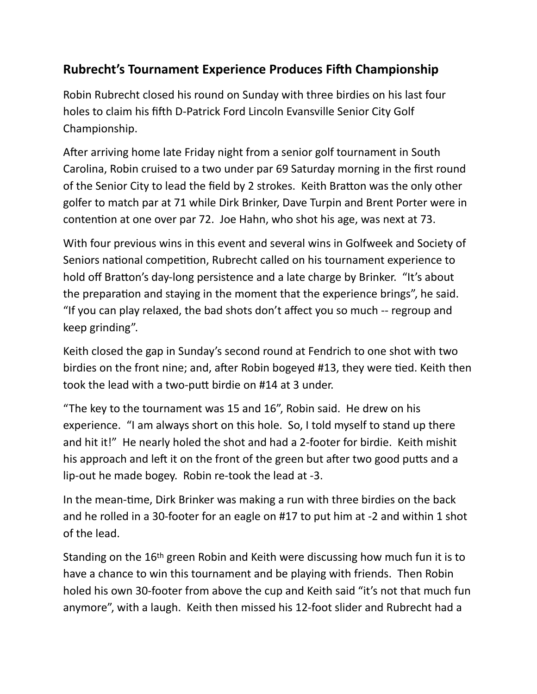## **Rubrecht's Tournament Experience Produces Fifth Championship**

Robin Rubrecht closed his round on Sunday with three birdies on his last four holes to claim his fifth D-Patrick Ford Lincoln Evansville Senior City Golf Championship.

After arriving home late Friday night from a senior golf tournament in South Carolina, Robin cruised to a two under par 69 Saturday morning in the first round of the Senior City to lead the field by 2 strokes. Keith Bratton was the only other golfer to match par at 71 while Dirk Brinker, Dave Turpin and Brent Porter were in contention at one over par 72. Joe Hahn, who shot his age, was next at 73.

With four previous wins in this event and several wins in Golfweek and Society of Seniors national competition, Rubrecht called on his tournament experience to hold off Bratton's day-long persistence and a late charge by Brinker. "It's about the preparation and staying in the moment that the experience brings", he said. "If you can play relaxed, the bad shots don't affect you so much -- regroup and keep grinding".

Keith closed the gap in Sunday's second round at Fendrich to one shot with two birdies on the front nine; and, after Robin bogeyed #13, they were tied. Keith then took the lead with a two-putt birdie on #14 at 3 under.

"The key to the tournament was 15 and 16", Robin said. He drew on his experience. "I am always short on this hole. So, I told myself to stand up there and hit it!" He nearly holed the shot and had a 2-footer for birdie. Keith mishit his approach and left it on the front of the green but after two good putts and a lip-out he made bogey. Robin re-took the lead at -3.

In the mean-time, Dirk Brinker was making a run with three birdies on the back and he rolled in a 30-footer for an eagle on #17 to put him at -2 and within 1 shot of the lead.

Standing on the 16th green Robin and Keith were discussing how much fun it is to have a chance to win this tournament and be playing with friends. Then Robin holed his own 30-footer from above the cup and Keith said "it's not that much fun anymore", with a laugh. Keith then missed his 12-foot slider and Rubrecht had a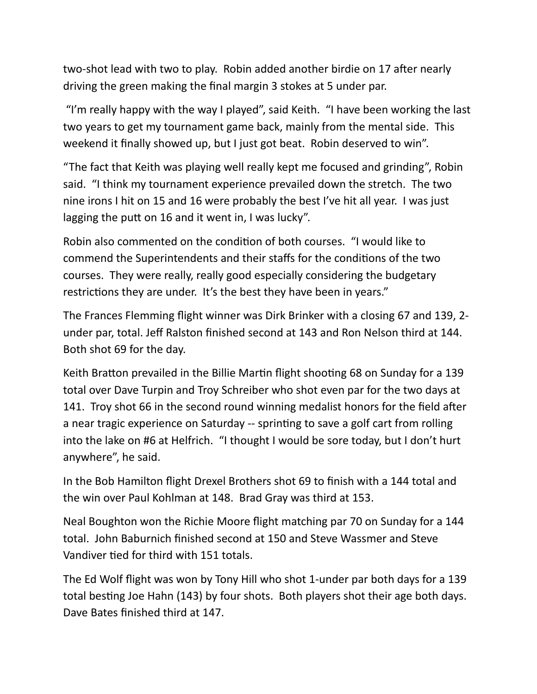two-shot lead with two to play. Robin added another birdie on 17 after nearly driving the green making the final margin 3 stokes at 5 under par.

 "I'm really happy with the way I played", said Keith. "I have been working the last two years to get my tournament game back, mainly from the mental side. This weekend it finally showed up, but I just got beat. Robin deserved to win".

"The fact that Keith was playing well really kept me focused and grinding", Robin said. "I think my tournament experience prevailed down the stretch. The two nine irons I hit on 15 and 16 were probably the best I've hit all year. I was just lagging the putt on 16 and it went in, I was lucky".

Robin also commented on the condition of both courses. "I would like to commend the Superintendents and their staffs for the conditions of the two courses. They were really, really good especially considering the budgetary restrictions they are under. It's the best they have been in years."

The Frances Flemming flight winner was Dirk Brinker with a closing 67 and 139, 2 under par, total. Jeff Ralston finished second at 143 and Ron Nelson third at 144. Both shot 69 for the day.

Keith Bratton prevailed in the Billie Martin flight shooting 68 on Sunday for a 139 total over Dave Turpin and Troy Schreiber who shot even par for the two days at 141. Troy shot 66 in the second round winning medalist honors for the field after a near tragic experience on Saturday -- sprinting to save a golf cart from rolling into the lake on #6 at Helfrich. "I thought I would be sore today, but I don't hurt anywhere", he said.

In the Bob Hamilton flight Drexel Brothers shot 69 to finish with a 144 total and the win over Paul Kohlman at 148. Brad Gray was third at 153.

Neal Boughton won the Richie Moore flight matching par 70 on Sunday for a 144 total. John Baburnich finished second at 150 and Steve Wassmer and Steve Vandiver tied for third with 151 totals.

The Ed Wolf flight was won by Tony Hill who shot 1-under par both days for a 139 total besting Joe Hahn (143) by four shots. Both players shot their age both days. Dave Bates finished third at 147.